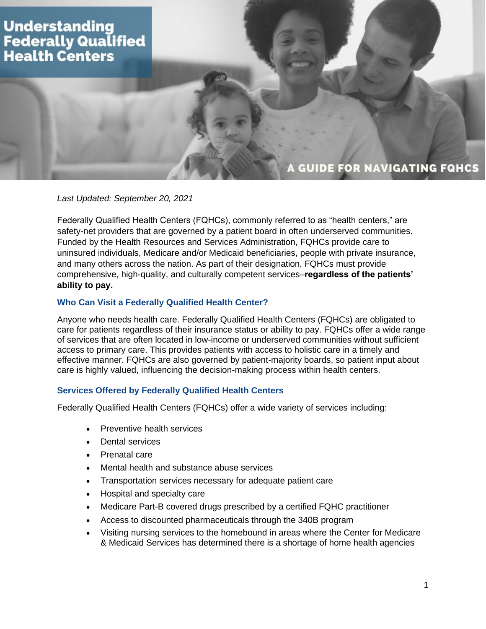# **Understanding Federally Qualified Health Centers**

# A GUIDE FOR NAVIGATING FQHCS

# *Last Updated: September 20, 2021*

Federally Qualified Health Centers (FQHCs), commonly referred to as "health centers," are safety-net providers that are governed by a patient board in often underserved communities. Funded by the Health Resources and Services Administration, FQHCs provide care to uninsured individuals, Medicare and/or Medicaid beneficiaries, people with private insurance, and many others across the nation. As part of their designation, FQHCs must provide comprehensive, high-quality, and culturally competent services–**regardless of the patients' ability to pay.**

### **Who Can Visit a Federally Qualified Health Center?**

Anyone who needs health care. Federally Qualified Health Centers (FQHCs) are obligated to care for patients regardless of their insurance status or ability to pay. FQHCs offer a wide range of services that are often located in low-income or underserved communities without sufficient access to primary care. This provides patients with access to holistic care in a timely and effective manner. FQHCs are also governed by patient-majority boards, so patient input about care is highly valued, influencing the decision-making process within health centers.

### **Services Offered by Federally Qualified Health Centers**

Federally Qualified Health Centers (FQHCs) offer a wide variety of services including:

- Preventive health services
- Dental services
- Prenatal care
- Mental health and substance abuse services
- Transportation services necessary for adequate patient care
- Hospital and specialty care
- Medicare Part-B covered drugs prescribed by a certified FQHC practitioner
- Access to discounted pharmaceuticals through the 340B program
- Visiting nursing services to the homebound in areas where the Center for Medicare & Medicaid Services has determined there is a shortage of home health agencies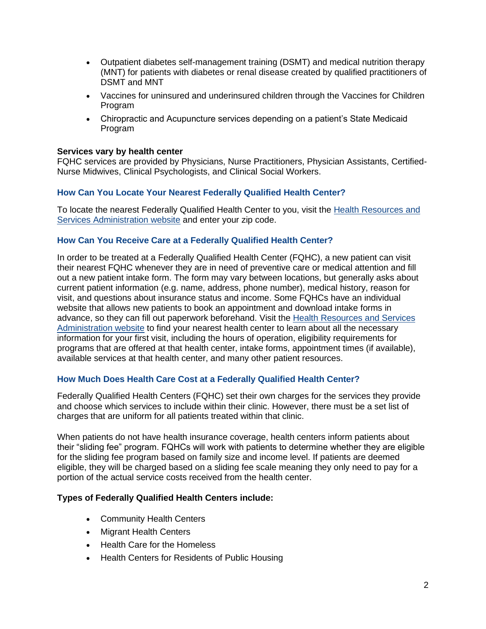- Outpatient diabetes self-management training (DSMT) and medical nutrition therapy (MNT) for patients with diabetes or renal disease created by qualified practitioners of DSMT and MNT
- Vaccines for uninsured and underinsured children through the Vaccines for Children Program
- Chiropractic and Acupuncture services depending on a patient's State Medicaid Program

### **Services vary by health center**

FQHC services are provided by Physicians, Nurse Practitioners, Physician Assistants, Certified-Nurse Midwives, Clinical Psychologists, and Clinical Social Workers.

# **How Can You Locate Your Nearest Federally Qualified Health Center?**

To locate the nearest Federally Qualified Health Center to you, visit the [Health Resources and](https://findahealthcenter.hrsa.gov/)  [Services Administration](https://findahealthcenter.hrsa.gov/) website and enter your zip code.

### **How Can You Receive Care at a Federally Qualified Health Center?**

In order to be treated at a Federally Qualified Health Center (FQHC), a new patient can visit their nearest FQHC whenever they are in need of preventive care or medical attention and fill out a new patient intake form. The form may vary between locations, but generally asks about current patient information (e.g. name, address, phone number), medical history, reason for visit, and questions about insurance status and income. Some FQHCs have an individual website that allows new patients to book an appointment and download intake forms in advance, so they can fill out paperwork beforehand. Visit the [Health Resources and Services](https://findahealthcenter.hrsa.gov/)  [Administration website](https://findahealthcenter.hrsa.gov/) to find your nearest health center to learn about all the necessary information for your first visit, including the hours of operation, eligibility requirements for programs that are offered at that health center, intake forms, appointment times (if available), available services at that health center, and many other patient resources.

### **How Much Does Health Care Cost at a Federally Qualified Health Center?**

Federally Qualified Health Centers (FQHC) set their own charges for the services they provide and choose which services to include within their clinic. However, there must be a set list of charges that are uniform for all patients treated within that clinic.

When patients do not have health insurance coverage, health centers inform patients about their "sliding fee" program. FQHCs will work with patients to determine whether they are eligible for the sliding fee program based on family size and income level. If patients are deemed eligible, they will be charged based on a sliding fee scale meaning they only need to pay for a portion of the actual service costs received from the health center.

### **Types of Federally Qualified Health Centers include:**

- Community Health Centers
- Migrant Health Centers
- Health Care for the Homeless
- Health Centers for Residents of Public Housing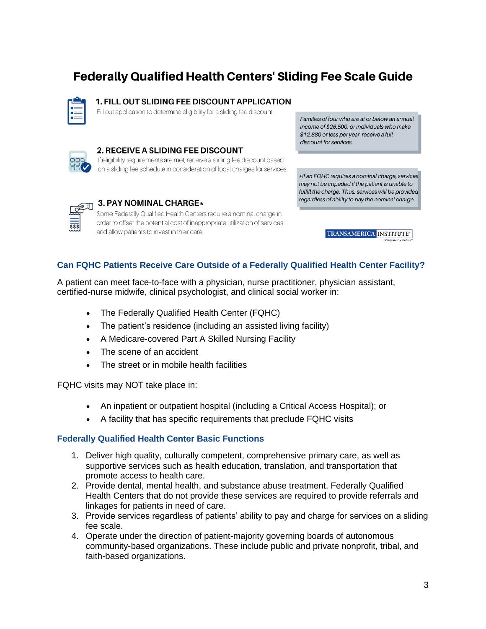# **Federally Qualified Health Centers' Sliding Fee Scale Guide**

### 1. FILL OUT SLIDING FEE DISCOUNT APPLICATION

Fill out application to determine eligibility for a sliding fee discount.



### 2. RECEIVE A SLIDING FEE DISCOUNT

If eligibility requirements are met, receive a sliding fee discount based on a sliding fee schedule in consideration of local charges for services.

Families of four who are at or below an annual income of \$26,500, or individuals who make \$12,880 or less per year receive a full discount for services.

\*If an FQHC requires a nominal charge, services may not be impeded if the patient is unable to fulfill the charge. Thus, services will be provided regardless of ability to pay the nominal charge.

 $\overline{\text{sss}}$ 

# 3. PAY NOMINAL CHARGE\*

Some Federally Qualified Health Centers require a nominal charge in order to offset the potential cost of inappropriate utilization of services and allow patients to invest in their care.

TRANSAMERICA INSTITUTE

# **Can FQHC Patients Receive Care Outside of a Federally Qualified Health Center Facility?**

A patient can meet face-to-face with a physician, nurse practitioner, physician assistant, certified-nurse midwife, clinical psychologist, and clinical social worker in:

- The Federally Qualified Health Center (FQHC)
- The patient's residence (including an assisted living facility)
- A Medicare-covered Part A Skilled Nursing Facility
- The scene of an accident
- The street or in mobile health facilities

FQHC visits may NOT take place in:

- An inpatient or outpatient hospital (including a Critical Access Hospital); or
- A facility that has specific requirements that preclude FQHC visits

# **Federally Qualified Health Center Basic Functions**

- 1. Deliver high quality, culturally competent, comprehensive primary care, as well as supportive services such as health education, translation, and transportation that promote access to health care.
- 2. Provide dental, mental health, and substance abuse treatment. Federally Qualified Health Centers that do not provide these services are required to provide referrals and linkages for patients in need of care.
- 3. Provide services regardless of patients' ability to pay and charge for services on a sliding fee scale.
- 4. Operate under the direction of patient-majority governing boards of autonomous community-based organizations. These include public and private nonprofit, tribal, and faith-based organizations.